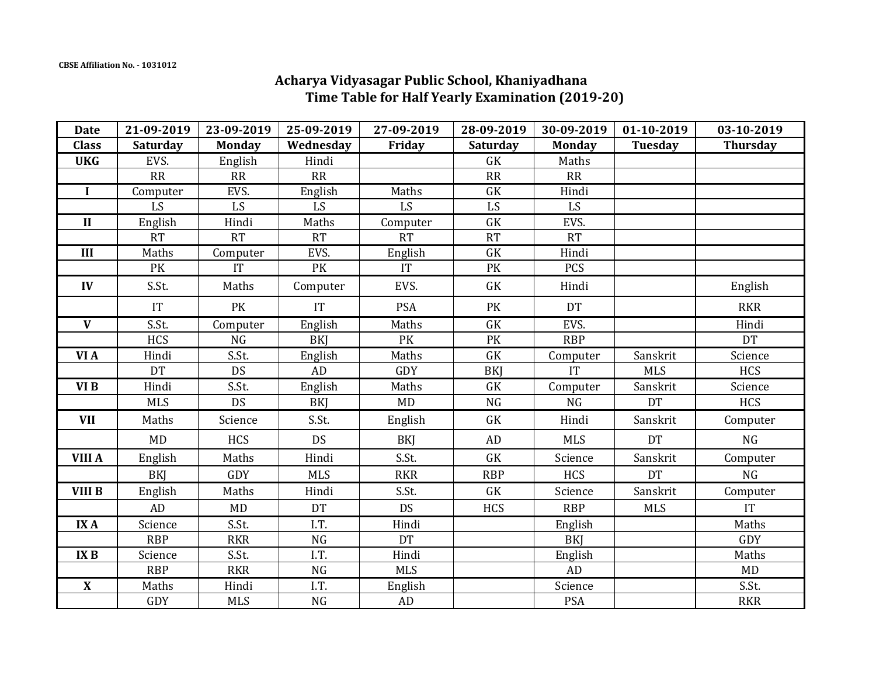## **Acharya Vidyasagar Public School, Khaniyadhana Time Table for Half Yearly Examination (2019-20)**

| <b>Date</b>               | 21-09-2019      | 23-09-2019    | 25-09-2019 | 27-09-2019 | 28-09-2019       | 30-09-2019    | 01-10-2019 | 03-10-2019      |
|---------------------------|-----------------|---------------|------------|------------|------------------|---------------|------------|-----------------|
| <b>Class</b>              | <b>Saturday</b> | <b>Monday</b> | Wednesday  | Friday     | <b>Saturday</b>  | <b>Monday</b> | Tuesday    | <b>Thursday</b> |
| <b>UKG</b>                | EVS.            | English       | Hindi      |            | GK               | Maths         |            |                 |
|                           | RR              | RR            | RR         |            | RR               | RR            |            |                 |
| $\mathbf I$               | Computer        | EVS.          | English    | Maths      | GK               | Hindi         |            |                 |
|                           | LS              | LS            | LS         | <b>LS</b>  | LS               | LS            |            |                 |
| $\mathbf{I}$              | English         | Hindi         | Maths      | Computer   | GK               | EVS.          |            |                 |
|                           | <b>RT</b>       | <b>RT</b>     | <b>RT</b>  | <b>RT</b>  | RT               | <b>RT</b>     |            |                 |
| III                       | Maths           | Computer      | EVS.       | English    | <b>GK</b>        | Hindi         |            |                 |
|                           | PK              | IT            | PK         | IT         | PK               | PCS           |            |                 |
| IV                        | S.St.           | Maths         | Computer   | EVS.       | GK               | Hindi         |            | English         |
|                           | IT              | PK            | IT         | <b>PSA</b> | PK               | <b>DT</b>     |            | <b>RKR</b>      |
| $\mathbf{V}$              | S.St.           | Computer      | English    | Maths      | <b>GK</b>        | EVS.          |            | Hindi           |
|                           | <b>HCS</b>      | NG            | <b>BKI</b> | PK         | PK               | <b>RBP</b>    |            | <b>DT</b>       |
| VI A                      | Hindi           | S.St.         | English    | Maths      | <b>GK</b>        | Computer      | Sanskrit   | Science         |
|                           | <b>DT</b>       | <b>DS</b>     | AD         | GDY        | <b>BKI</b>       | IT            | <b>MLS</b> | <b>HCS</b>      |
| VI B                      | Hindi           | S.St.         | English    | Maths      | ${\rm G}{\rm K}$ | Computer      | Sanskrit   | Science         |
|                           | <b>MLS</b>      | <b>DS</b>     | BKI        | <b>MD</b>  | <b>NG</b>        | <b>NG</b>     | <b>DT</b>  | <b>HCS</b>      |
| <b>VII</b>                | Maths           | Science       | S.St.      | English    | GK               | Hindi         | Sanskrit   | Computer        |
|                           | <b>MD</b>       | <b>HCS</b>    | <b>DS</b>  | BKJ        | AD               | <b>MLS</b>    | <b>DT</b>  | NG              |
| <b>VIII A</b>             | English         | Maths         | Hindi      | S.St.      | GK               | Science       | Sanskrit   | Computer        |
|                           | <b>BKI</b>      | GDY           | <b>MLS</b> | <b>RKR</b> | <b>RBP</b>       | <b>HCS</b>    | <b>DT</b>  | NG              |
| <b>VIII B</b>             | English         | Maths         | Hindi      | S.St.      | GK               | Science       | Sanskrit   | Computer        |
|                           | AD              | MD            | <b>DT</b>  | <b>DS</b>  | <b>HCS</b>       | <b>RBP</b>    | <b>MLS</b> | IT              |
| <b>IXA</b>                | Science         | S.St.         | I.T.       | Hindi      |                  | English       |            | Maths           |
|                           | <b>RBP</b>      | <b>RKR</b>    | <b>NG</b>  | <b>DT</b>  |                  | <b>BKI</b>    |            | <b>GDY</b>      |
| <b>IXB</b>                | Science         | S.St.         | I.T.       | Hindi      |                  | English       |            | Maths           |
|                           | <b>RBP</b>      | <b>RKR</b>    | NG         | <b>MLS</b> |                  | AD            |            | MD              |
| $\boldsymbol{\mathrm{X}}$ | Maths           | Hindi         | I.T.       | English    |                  | Science       |            | S.St.           |
|                           | GDY             | <b>MLS</b>    | $\rm NG$   | AD         |                  | <b>PSA</b>    |            | <b>RKR</b>      |